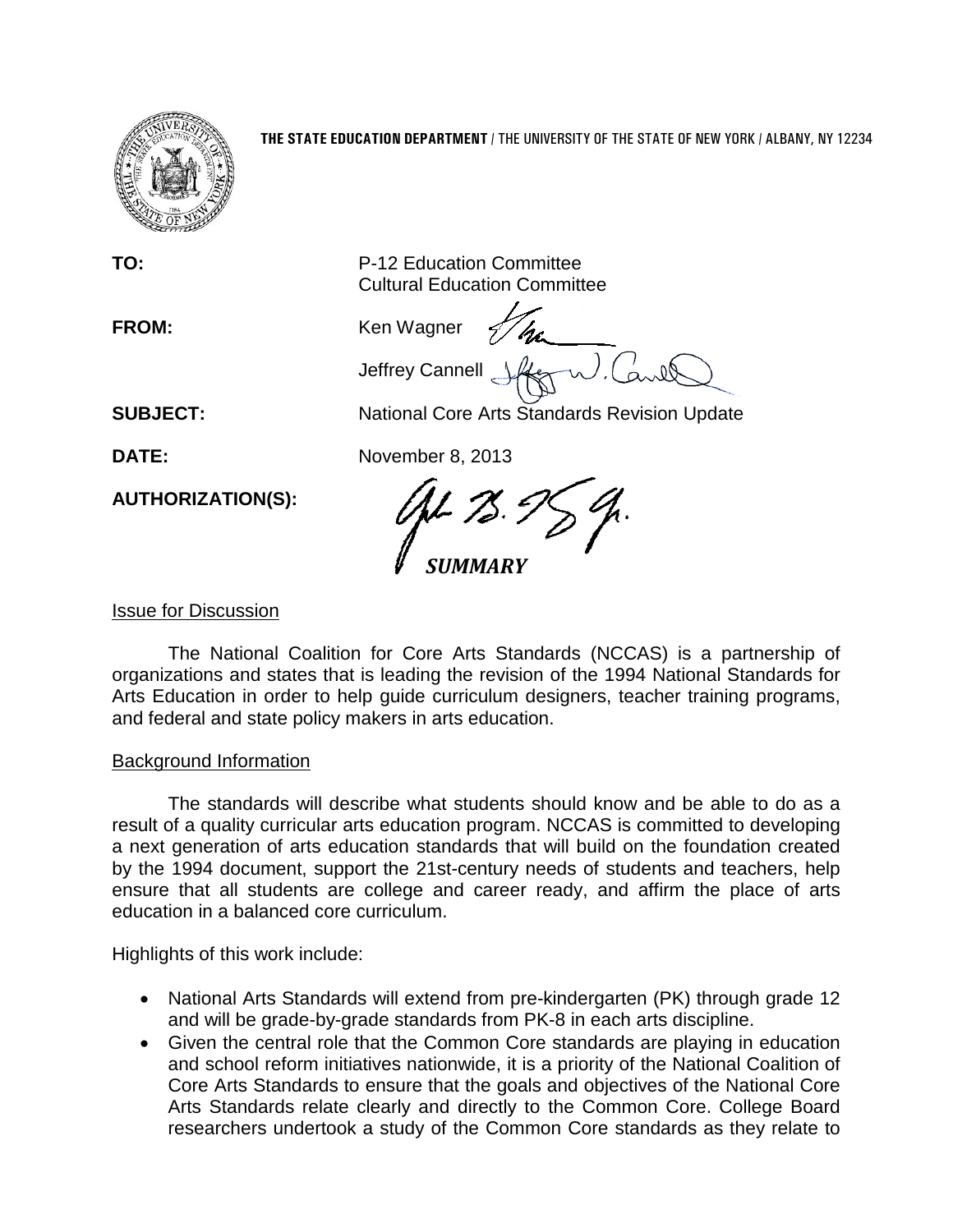

**TO:** P-12 Education Committee Cultural Education Committee

FROM: Ken Wagner Jeffrey Cannell

**SUBJECT:** National Core Arts Standards Revision Update

**DATE:** November 8, 2013

*SUMMARY*

Issue for Discussion

**AUTHORIZATION(S):**

The National Coalition for Core Arts Standards (NCCAS) is a partnership of organizations and states that is leading the revision of the 1994 National Standards for Arts Education in order to help guide curriculum designers, teacher training programs, and federal and state policy makers in arts education.

# Background Information

The standards will describe what students should know and be able to do as a result of a quality curricular arts education program. NCCAS is committed to developing a next generation of arts education standards that will build on the foundation created by the 1994 document, support the 21st-century needs of students and teachers, help ensure that all students are college and career ready, and affirm the place of arts education in a balanced core curriculum.

Highlights of this work include:

- National Arts Standards will extend from pre-kindergarten (PK) through grade 12 and will be grade-by-grade standards from PK-8 in each arts discipline.
- Given the central role that the Common Core standards are playing in education and school reform initiatives nationwide, it is a priority of the National Coalition of Core Arts Standards to ensure that the goals and objectives of the National Core Arts Standards relate clearly and directly to the Common Core. College Board researchers undertook a study of the Common Core standards as they relate to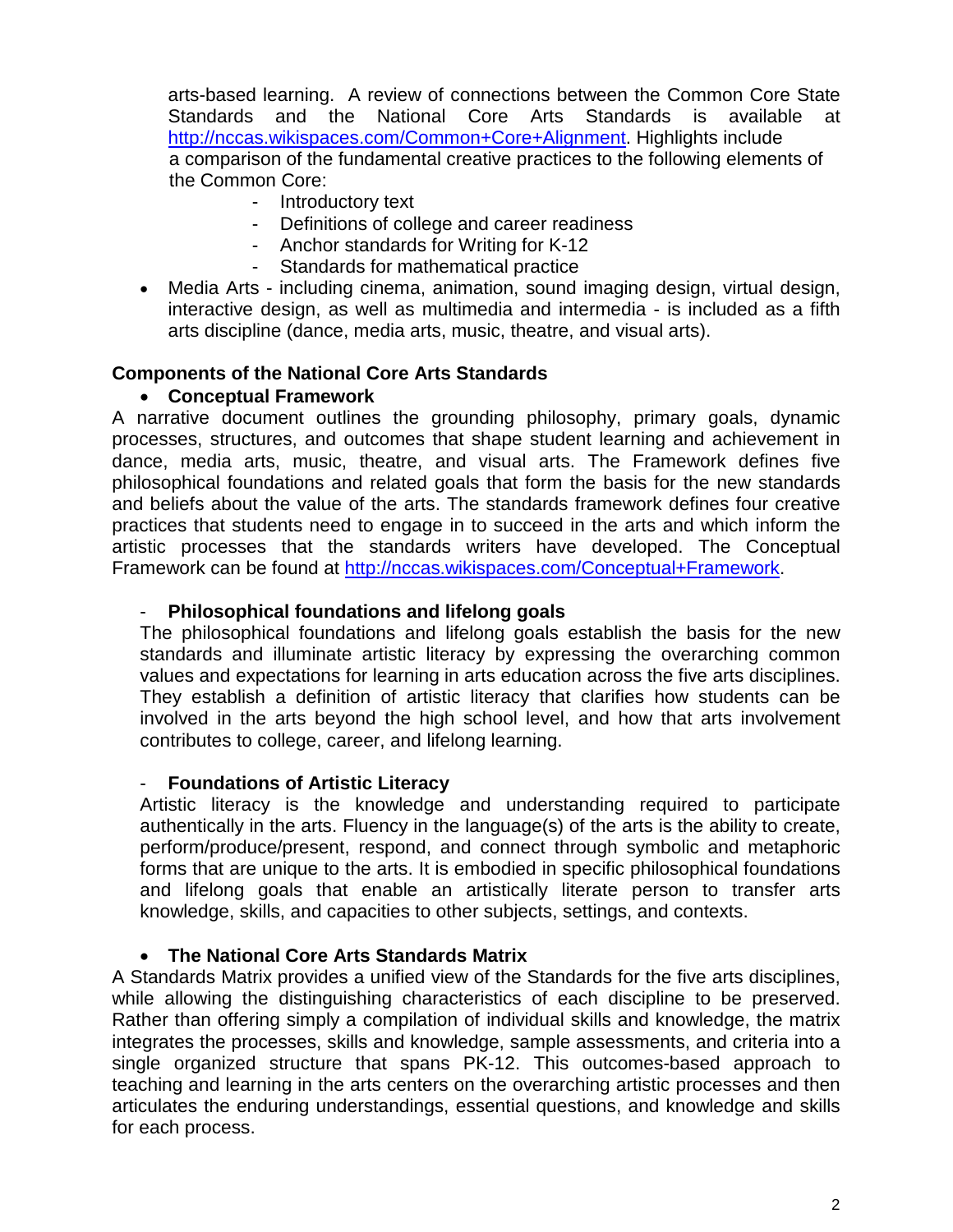arts-based learning. A review of connections between the Common Core State Standards and the National Core Arts Standards is available at [http://nccas.wikispaces.com/Common+Core+Alignment.](http://nccas.wikispaces.com/Common+Core+Alignment) Highlights include a comparison of the fundamental creative practices to the following elements of the Common Core:

- Introductory text
- Definitions of college and career readiness
- Anchor standards for Writing for K-12
- Standards for mathematical practice
- Media Arts including cinema, animation, sound imaging design, virtual design, interactive design, as well as multimedia and intermedia - is included as a fifth arts discipline (dance, media arts, music, theatre, and visual arts).

### **Components of the National Core Arts Standards**

### • **Conceptual Framework**

A narrative document outlines the grounding philosophy, primary goals, dynamic processes, structures, and outcomes that shape student learning and achievement in dance, media arts, music, theatre, and visual arts. The Framework defines five philosophical foundations and related goals that form the basis for the new standards and beliefs about the value of the arts. The standards framework defines four creative practices that students need to engage in to succeed in the arts and which inform the artistic processes that the standards writers have developed. The Conceptual Framework can be found at [http://nccas.wikispaces.com/Conceptual+Framework.](http://nccas.wikispaces.com/Conceptual+Framework)

#### - **Philosophical foundations and lifelong goals**

The philosophical foundations and lifelong goals establish the basis for the new standards and illuminate artistic literacy by expressing the overarching common values and expectations for learning in arts education across the five arts disciplines. They establish a definition of artistic literacy that clarifies how students can be involved in the arts beyond the high school level, and how that arts involvement contributes to college, career, and lifelong learning.

#### - **Foundations of Artistic Literacy**

Artistic literacy is the knowledge and understanding required to participate authentically in the arts. Fluency in the language(s) of the arts is the ability to create, perform/produce/present, respond, and connect through symbolic and metaphoric forms that are unique to the arts. It is embodied in specific philosophical foundations and lifelong goals that enable an artistically literate person to transfer arts knowledge, skills, and capacities to other subjects, settings, and contexts.

#### • **The National Core Arts Standards Matrix**

A Standards Matrix provides a unified view of the Standards for the five arts disciplines, while allowing the distinguishing characteristics of each discipline to be preserved. Rather than offering simply a compilation of individual skills and knowledge, the matrix integrates the processes, skills and knowledge, sample assessments, and criteria into a single organized structure that spans PK-12. This outcomes-based approach to teaching and learning in the arts centers on the overarching artistic processes and then articulates the enduring understandings, essential questions, and knowledge and skills for each process.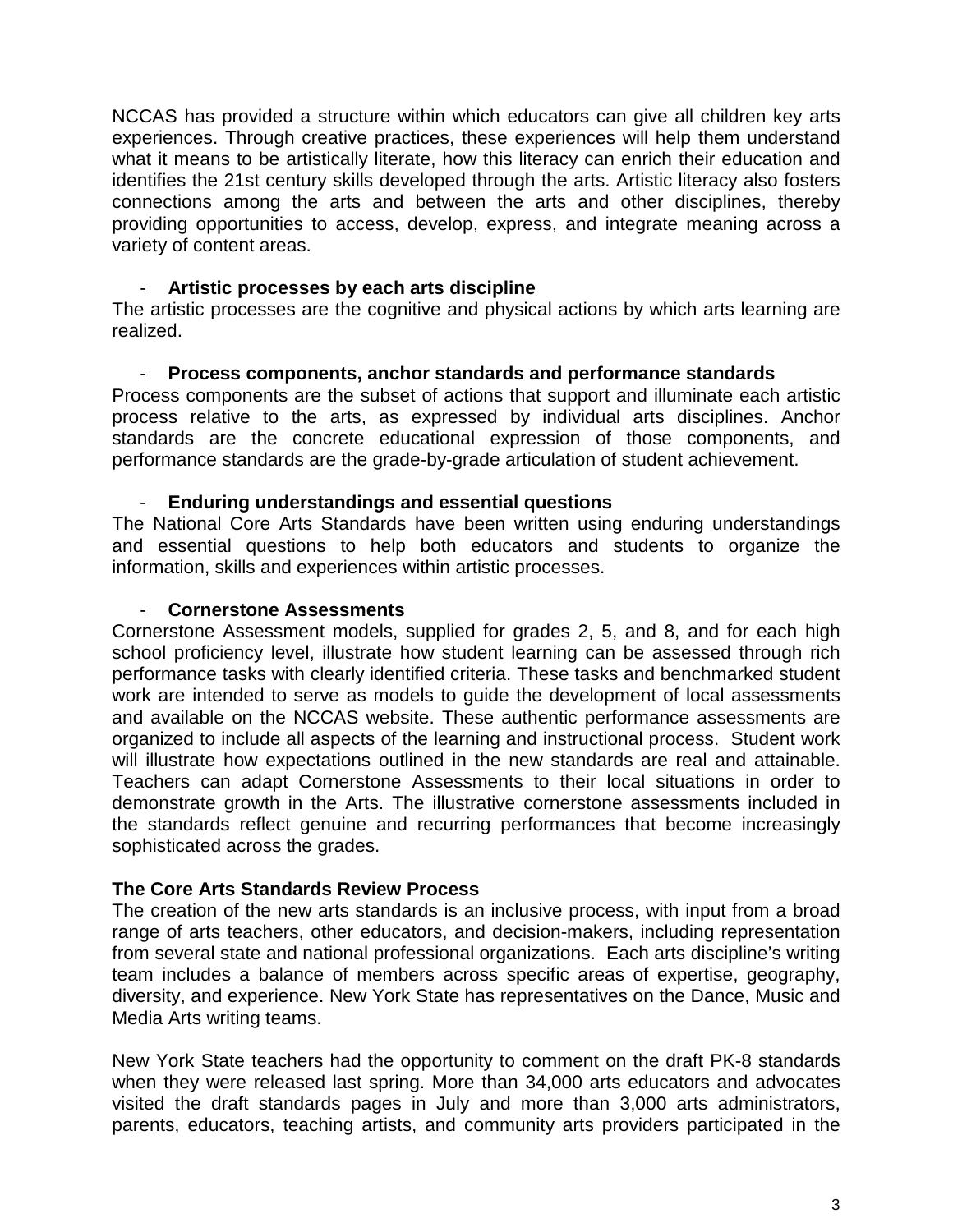NCCAS has provided a structure within which educators can give all children key arts experiences. Through creative practices, these experiences will help them understand what it means to be artistically literate, how this literacy can enrich their education and identifies the 21st century skills developed through the arts. Artistic literacy also fosters connections among the arts and between the arts and other disciplines, thereby providing opportunities to access, develop, express, and integrate meaning across a variety of content areas.

#### - **Artistic processes by each arts discipline**

The artistic processes are the cognitive and physical actions by which arts learning are realized.

#### - **Process components, anchor standards and performance standards**

Process components are the subset of actions that support and illuminate each artistic process relative to the arts, as expressed by individual arts disciplines. Anchor standards are the concrete educational expression of those components, and performance standards are the grade-by-grade articulation of student achievement.

#### - **Enduring understandings and essential questions**

The National Core Arts Standards have been written using enduring understandings and essential questions to help both educators and students to organize the information, skills and experiences within artistic processes.

#### - **Cornerstone Assessments**

Cornerstone Assessment models, supplied for grades 2, 5, and 8, and for each high school proficiency level, illustrate how student learning can be assessed through rich performance tasks with clearly identified criteria. These tasks and benchmarked student work are intended to serve as models to guide the development of local assessments and available on the NCCAS website. These authentic performance assessments are organized to include all aspects of the learning and instructional process. Student work will illustrate how expectations outlined in the new standards are real and attainable. Teachers can adapt Cornerstone Assessments to their local situations in order to demonstrate growth in the Arts. The illustrative cornerstone assessments included in the standards reflect genuine and recurring performances that become increasingly sophisticated across the grades.

### **The Core Arts Standards Review Process**

The creation of the new arts standards is an inclusive process, with input from a broad range of arts teachers, other educators, and decision-makers, including representation from several state and national professional organizations. Each arts discipline's writing team includes a balance of members across specific areas of expertise, geography, diversity, and experience. New York State has representatives on the Dance, Music and Media Arts writing teams.

New York State teachers had the opportunity to comment on the draft PK-8 standards when they were released last spring. More than 34,000 arts educators and advocates visited the draft standards pages in July and more than 3,000 arts administrators, parents, educators, teaching artists, and community arts providers participated in the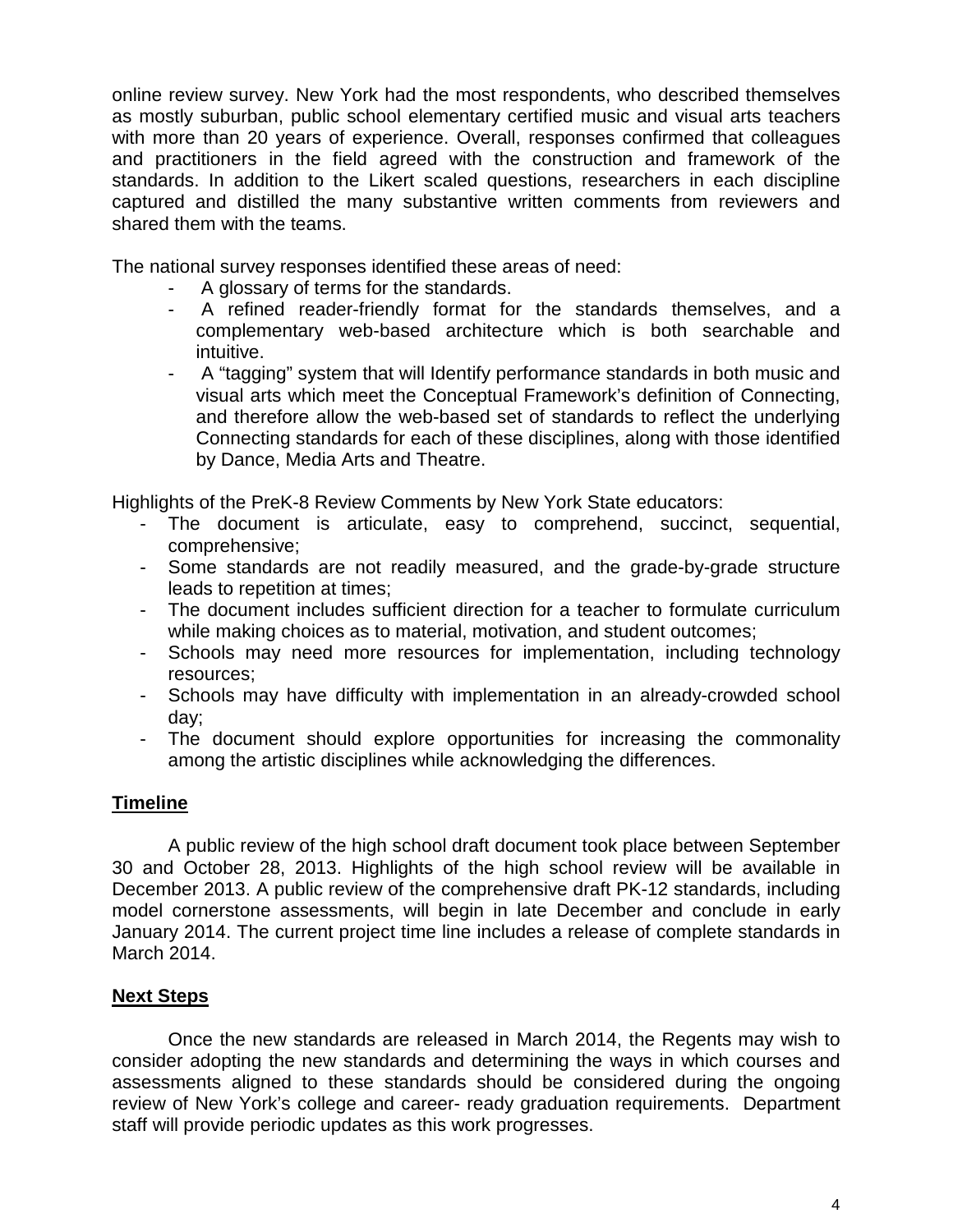online review survey. New York had the most respondents, who described themselves as mostly suburban, public school elementary certified music and visual arts teachers with more than 20 years of experience. Overall, responses confirmed that colleagues and practitioners in the field agreed with the construction and framework of the standards. In addition to the Likert scaled questions, researchers in each discipline captured and distilled the many substantive written comments from reviewers and shared them with the teams.

The national survey responses identified these areas of need:

- A glossary of terms for the standards.
- A refined reader-friendly format for the standards themselves, and a complementary web-based architecture which is both searchable and intuitive.
- A "tagging" system that will Identify performance standards in both music and visual arts which meet the Conceptual Framework's definition of Connecting, and therefore allow the web-based set of standards to reflect the underlying Connecting standards for each of these disciplines, along with those identified by Dance, Media Arts and Theatre.

Highlights of the PreK-8 Review Comments by New York State educators:

- The document is articulate, easy to comprehend, succinct, sequential, comprehensive;
- Some standards are not readily measured, and the grade-by-grade structure leads to repetition at times;
- The document includes sufficient direction for a teacher to formulate curriculum while making choices as to material, motivation, and student outcomes;
- Schools may need more resources for implementation, including technology resources;
- Schools may have difficulty with implementation in an already-crowded school day;
- The document should explore opportunities for increasing the commonality among the artistic disciplines while acknowledging the differences.

### **Timeline**

A public review of the high school draft document took place between September 30 and October 28, 2013. Highlights of the high school review will be available in December 2013. A public review of the comprehensive draft PK-12 standards, including model cornerstone assessments, will begin in late December and conclude in early January 2014. The current project time line includes a release of complete standards in March 2014.

#### **Next Steps**

Once the new standards are released in March 2014, the Regents may wish to consider adopting the new standards and determining the ways in which courses and assessments aligned to these standards should be considered during the ongoing review of New York's college and career- ready graduation requirements. Department staff will provide periodic updates as this work progresses.